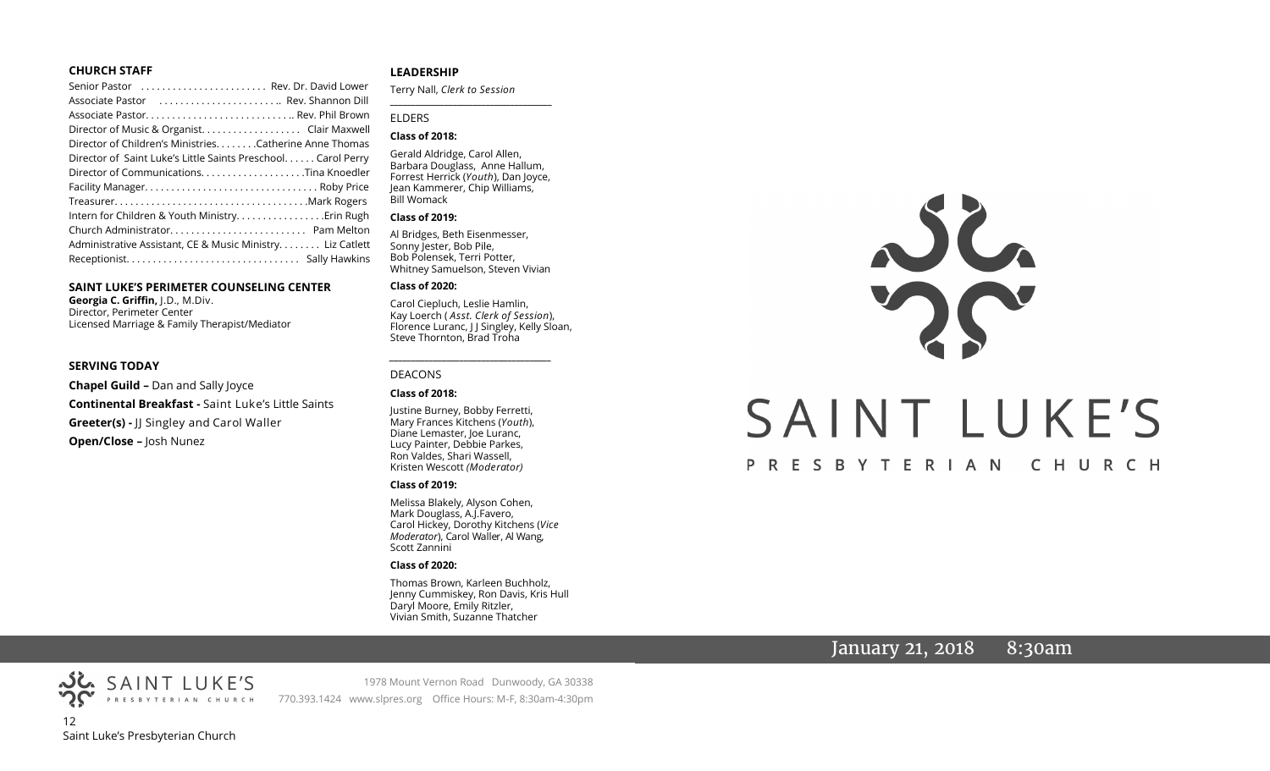#### **CHURCH STAFF**

| Senior Pastor  Rev. Dr. David Lower                          |  |
|--------------------------------------------------------------|--|
| Associate Pastor  Rev. Shannon Dill                          |  |
|                                                              |  |
| Director of Music & Organist. Clair Maxwell                  |  |
| Director of Children's Ministries. Catherine Anne Thomas     |  |
| Director of Saint Luke's Little Saints Preschool Carol Perry |  |
|                                                              |  |
|                                                              |  |
|                                                              |  |
| Intern for Children & Youth MinistryErin Rugh                |  |
|                                                              |  |
| Administrative Assistant, CE & Music Ministry Liz Catlett    |  |
|                                                              |  |

#### **SAINT LUKE'S PERIMETER COUNSELING CENTER**

**Georgia C. Griffin,** J.D., M.Div. Director, Perimeter Center Licensed Marriage & Family Therapist/Mediator

#### **SERVING TODAY**

**Chapel Guild –** Dan and Sally Joyce **Continental Breakfast -** Saint Luke's Little Saints **Greeter(s) -** JJ Singley and Carol Waller **Open/Close –** Josh Nunez

#### **LEADERSHIP**

Terry Nall, *Clerk to Session* 

**\_\_\_\_\_\_\_\_\_\_\_\_\_\_\_\_\_\_\_\_\_\_\_\_\_\_\_\_\_\_\_\_\_\_\_\_\_\_\_**

#### ELDERS

#### **Class of 2018:**

Gerald Aldridge, Carol Allen, Barbara Douglass, Anne Hallum, Forrest Herrick (*Youth*), Dan Joyce, Jean Kammerer, Chip Williams, Bill Womack

#### **Class of 2019:**

Al Bridges, Beth Eisenmesser, Sonny Jester, Bob Pile, Bob Polensek, Terri Potter, Whitney Samuelson, Steven Vivian

#### **Class of 2020:**

Carol Ciepluch, Leslie Hamlin, Kay Loerch ( *Asst. Clerk of Session*), Florence Luranc, J J Singley, Kelly Sloan, Steve Thornton, Brad Troha

*\_\_\_\_\_\_\_\_\_\_\_\_\_\_\_\_\_\_\_\_\_\_\_\_\_\_\_\_\_\_\_\_\_\_\_\_\_*

#### DEACONS

#### **Class of 2018:**

Justine Burney, Bobby Ferretti, Mary Frances Kitchens (*Youth*), Diane Lemaster, Joe Luranc, Lucy Painter, Debbie Parkes, Ron Valdes, Shari Wassell, Kristen Wescott *(Moderator)*

#### **Class of 2019:**

Melissa Blakely, Alyson Cohen, Mark Douglass, A.J.Favero, Carol Hickey, Dorothy Kitchens (*Vice Moderator*), Carol Waller, Al Wang, Scott Zannini

#### **Class of 2020:**

Thomas Brown, Karleen Buchholz, Jenny Cummiskey, Ron Davis, Kris Hull Daryl Moore, Emily Ritzler, Vivian Smith, Suzanne Thatcher

# SAINT LUKE'S PRESBYTERIAN CHURCH

## January 21, 2018  $8:30$ am

PRESBYTERIAN CHURCH 12 Saint Luke's Presbyterian Church

SAINT LUKE'S

1978 Mount Vernon Road Dunwoody, GA 30338 770.393.1424 www.slpres.org Office Hours: M-F, 8:30am-4:30pm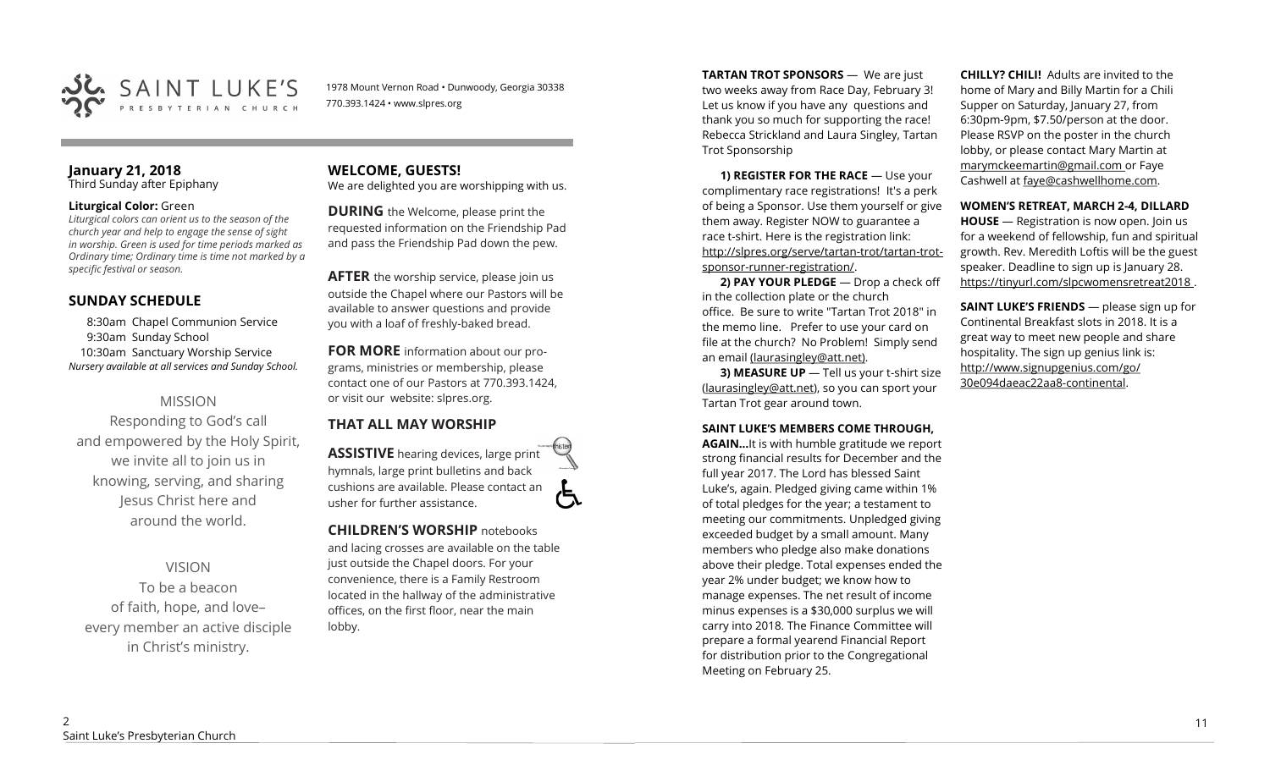

1978 Mount Vernon Road • Dunwoody, Georgia 30338 770.393.1424 • www.slpres.org

#### **January 21, 2018**  Third Sunday after Epiphany

#### **Liturgical Color:** Green

*Liturgical colors can orient us to the season of the church year and help to engage the sense of sight in worship. Green is used for time periods marked as Ordinary time; Ordinary time is time not marked by a specific festival or season.*

## **SUNDAY SCHEDULE**

8:30am Chapel Communion Service 9:30am Sunday School 10:30am Sanctuary Worship Service *Nursery available at all services and Sunday School.* 

## MISSION

Responding to God's call and empowered by the Holy Spirit, we invite all to join us in knowing, serving, and sharing Jesus Christ here and around the world.

VISION

To be a beacon of faith, hope, and love– every member an active disciple in Christ's ministry.

# **WELCOME, GUESTS!**

We are delighted you are worshipping with us.

**DURING** the Welcome, please print the requested information on the Friendship Pad and pass the Friendship Pad down the pew.

**AFTER** the worship service, please join us outside the Chapel where our Pastors will be available to answer questions and provide you with a loaf of freshly-baked bread.

**FOR MORE** information about our programs, ministries or membership, please contact one of our Pastors at 770.393.1424, or visit our website: slpres.org.

# **THAT ALL MAY WORSHIP**

**ASSISTIVE** hearing devices, large print hymnals, large print bulletins and back cushions are available. Please contact an usher for further assistance.

**CHILDREN'S WORSHIP** notebooks and lacing crosses are available on the table just outside the Chapel doors. For your convenience, there is a Family Restroom

located in the hallway of the administrative offices, on the first floor, near the main lobby.

**TARTAN TROT SPONSORS** — We are just two weeks away from Race Day, February 3! Let us know if you have any questions and thank you so much for supporting the race! Rebecca Strickland and Laura Singley, Tartan Trot Sponsorship

**1) REGISTER FOR THE RACE** — Use your complimentary race registrations! It's a perk of being a Sponsor. Use them yourself or give them away. Register NOW to guarantee a race t-shirt. Here is the registration link: [http://slpres.org/serve/tartan](http://slpres.org/serve/tartan-trot/tartan-trot-sponsor-runner-registration/)-trot/tartan-trotsponsor-runner-[registration/.](http://slpres.org/serve/tartan-trot/tartan-trot-sponsor-runner-registration/)

**2) PAY YOUR PLEDGE** — Drop a check off in the collection plate or the church office. Be sure to write "Tartan Trot 2018" in the memo line. Prefer to use your card on file at the church? No Problem! Simply send an email [\(laurasingley@att.net\).](mailto:laurasingley@att.net)

**3) MEASURE UP** - Tell us your t-shirt size [\(laurasingley@att.net\),](mailto:laurasingley@att.net) so you can sport your Tartan Trot gear around town.

#### **SAINT LUKE'S MEMBERS COME THROUGH,**

**AGAIN…**It is with humble gratitude we report strong financial results for December and the full year 2017. The Lord has blessed Saint Luke's, again. Pledged giving came within 1% of total pledges for the year; a testament to meeting our commitments. Unpledged giving exceeded budget by a small amount. Many members who pledge also make donations above their pledge. Total expenses ended the year 2% under budget; we know how to manage expenses. The net result of income minus expenses is a \$30,000 surplus we will carry into 2018. The Finance Committee will prepare a formal yearend Financial Report for distribution prior to the Congregational Meeting on February 25.

**CHILLY? CHILI!** Adults are invited to the home of Mary and Billy Martin for a Chili Supper on Saturday, January 27, from 6:30pm-9pm, \$7.50/person at the door. Please RSVP on the poster in the church lobby, or please contact Mary Martin at marymckeemartin@gmail.com or Faye Cashwell at faye@cashwellhome.com.

#### **WOMEN'S RETREAT, MARCH 2-4, DILLARD**

**HOUSE** — Registration is now open. Join us for a weekend of fellowship, fun and spiritual growth. Rev. Meredith Loftis will be the guest speaker. Deadline to sign up is January 28. https://tinyurl.com/slpcwomensretreat2018 .

**SAINT LUKE'S FRIENDS** — please sign up for Continental Breakfast slots in 2018. It is a great way to meet new people and share hospitality. The sign up genius link is: <http://www.signupgenius.com/go/> 30e094daeac22aa8-continental.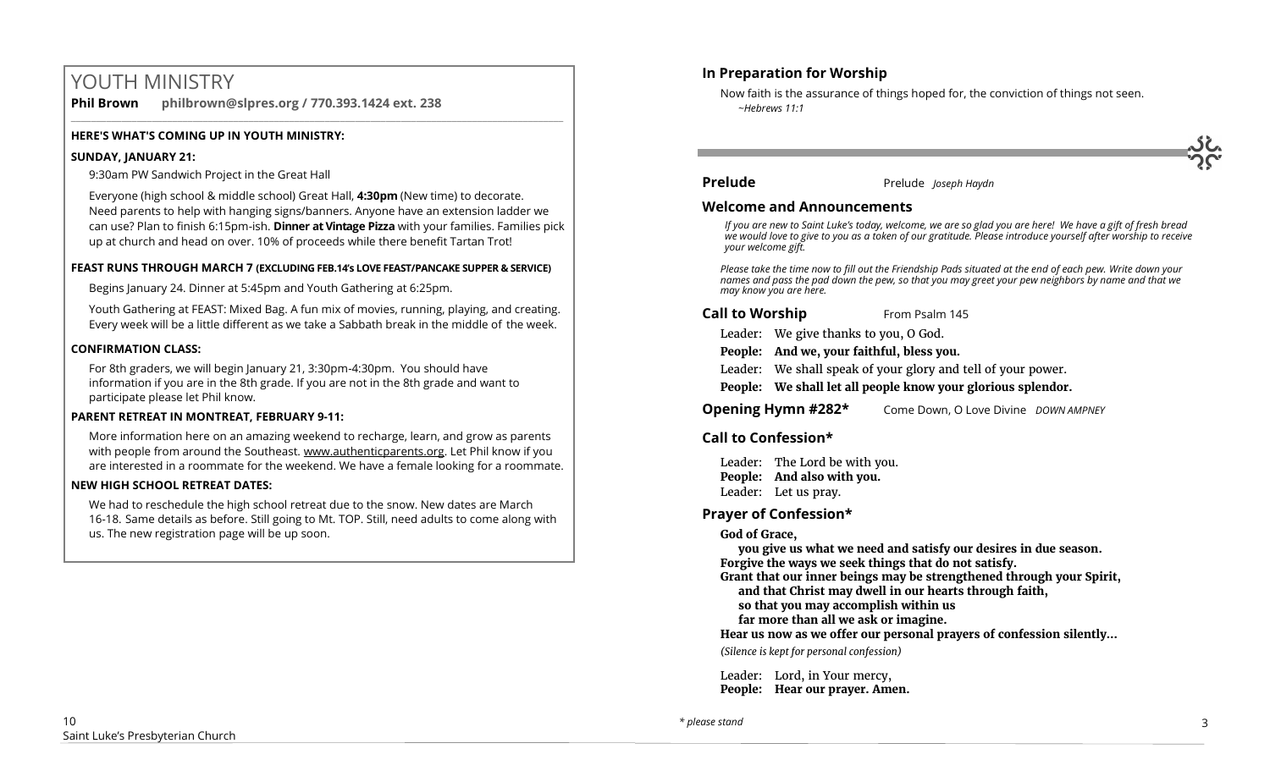# YOUTH MINISTRY

**Phil Brown philbrown@slpres.org / 770.393.1424 ext. 238** 

#### **HERE'S WHAT'S COMING UP IN YOUTH MINISTRY:**

#### **SUNDAY, JANUARY 21:**

9:30am PW Sandwich Project in the Great Hall

Everyone (high school & middle school) Great Hall, **4:30pm** (New time) to decorate. Need parents to help with hanging signs/banners. Anyone have an extension ladder we can use? Plan to finish 6:15pm-ish. **Dinner at Vintage Pizza** with your families. Families pick up at church and head on over. 10% of proceeds while there benefit Tartan Trot!

 $\_$  ,  $\_$  ,  $\_$  ,  $\_$  ,  $\_$  ,  $\_$  ,  $\_$  ,  $\_$  ,  $\_$  ,  $\_$  ,  $\_$  ,  $\_$  ,  $\_$  ,  $\_$  ,  $\_$  ,  $\_$  ,  $\_$  ,  $\_$  ,  $\_$  ,  $\_$ 

#### **FEAST RUNS THROUGH MARCH 7 (EXCLUDING FEB.14's LOVE FEAST/PANCAKE SUPPER & SERVICE)**

Begins January 24. Dinner at 5:45pm and Youth Gathering at 6:25pm.

Youth Gathering at FEAST: Mixed Bag. A fun mix of movies, running, playing, and creating. Every week will be a little different as we take a Sabbath break in the middle of the week.

#### **CONFIRMATION CLASS:**

For 8th graders, we will begin January 21, 3:30pm-4:30pm. You should have information if you are in the 8th grade. If you are not in the 8th grade and want to participate please let Phil know.

#### **PARENT RETREAT IN MONTREAT, FEBRUARY 9-11:**

[More information here](https://www.authenticparents.org/) on an amazing weekend to recharge, learn, and grow as parents with people from around the Southeast. [www.authenticparents.org.](http://www.authenticparents.org/) Let Phil know if you are interested in a roommate for the weekend. We have a female looking for a roommate.

#### **NEW HIGH SCHOOL RETREAT DATES:**

We had to reschedule the high school retreat due to the snow. New dates are March 16-18. Same details as before. Still going to Mt. TOP. Still, need adults to come along with us. The new registration page will be up soon.

#### **In Preparation for Worship**

Now faith is the assurance of things hoped for, the conviction of things not seen. *~Hebrews 11:1*

**Prelude** Prelude *Joseph Haydn* 

#### **Welcome and Announcements**

*If you are new to Saint Luke's today, welcome, we are so glad you are here! We have a gift of fresh bread we would love to give to you as a token of our gratitude. Please introduce yourself after worship to receive your welcome gift.*

*Please take the time now to fill out the Friendship Pads situated at the end of each pew. Write down your names and pass the pad down the pew, so that you may greet your pew neighbors by name and that we may know you are here.*

#### **Call to Worship** From Psalm 145

Leader: We give thanks to you, O God.

**People: And we, your faithful, bless you.**

Leader: We shall speak of your glory and tell of your power.

**People: We shall let all people know your glorious splendor.**

**Opening Hymn #282\*** Come Down, O Love Divine *DOWN AMPNEY*

#### **Call to Confession\***

Leader: The Lord be with you. **People: And also with you.** Leader: Let us pray.

#### **Prayer of Confession\***

#### **God of Grace,**

**you give us what we need and satisfy our desires in due season. Forgive the ways we seek things that do not satisfy.**

**Grant that our inner beings may be strengthened through your Spirit,** 

**and that Christ may dwell in our hearts through faith,** 

**so that you may accomplish within us** 

**far more than all we ask or imagine.**

**Hear us now as we offer our personal prayers of confession silently…** 

*(Silence is kept for personal confession)* 

Leader: Lord, in Your mercy, **People: Hear our prayer. Amen.**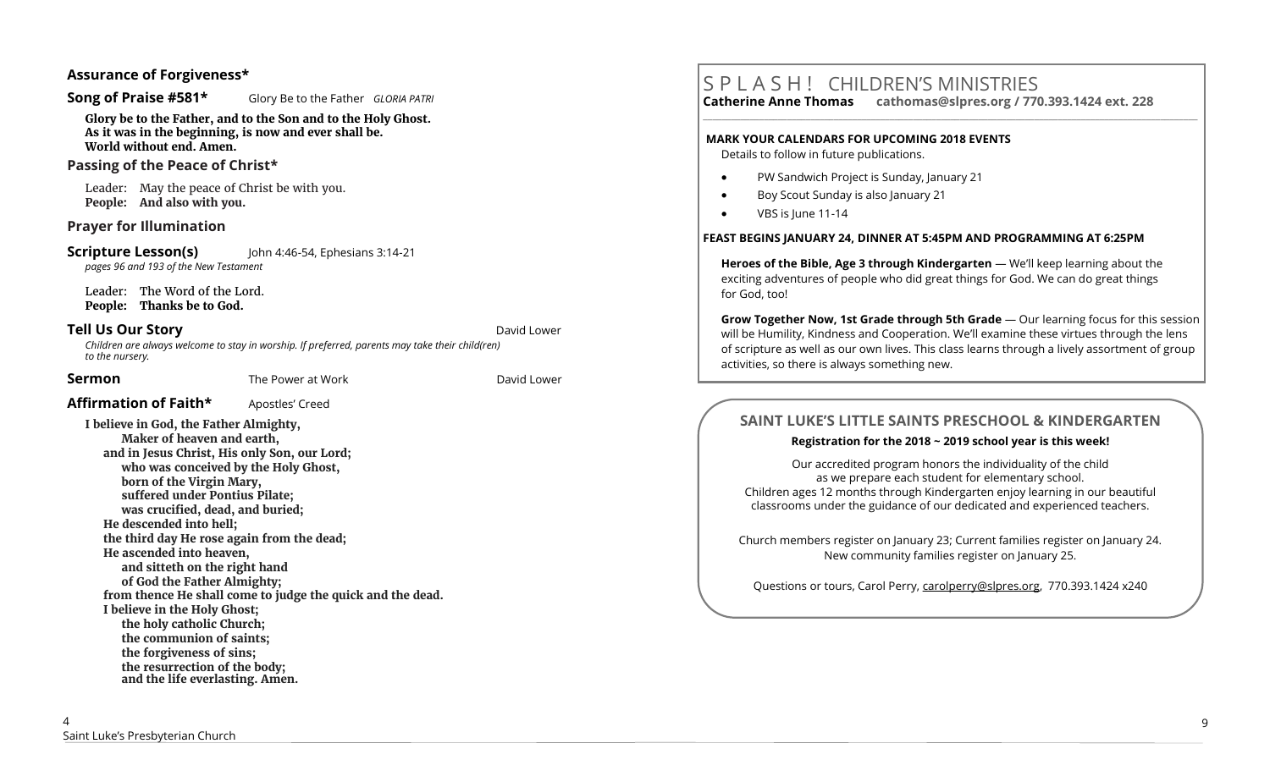#### **Assurance of Forgiveness\***

#### **Song of Praise #581\*** Glory Be to the Father *GLORIA PATRI*

**Glory be to the Father, and to the Son and to the Holy Ghost. As it was in the beginning, is now and ever shall be. World without end. Amen.** 

#### **Passing of the Peace of Christ\***

Leader: May the peace of Christ be with you. **People: And also with you.** 

#### **Prayer for Illumination**

**Scripture Lesson(s)** John 4:46-54, Ephesians 3:14-21 *pages 96 and 193 of the New Testament*

Leader: The Word of the Lord. **People: Thanks be to God.**

#### **Tell Us Our Story and Story and Story and Story and Story and David Lower** David Lower

*Children are always welcome to stay in worship. If preferred, parents may take their child(ren) to the nursery.*

**Sermon** The Power at WorkDavid Lower

#### **Affirmation of Faith\*** Apostles' Creed

**I believe in God, the Father Almighty, Maker of heaven and earth, and in Jesus Christ, His only Son, our Lord; who was conceived by the Holy Ghost, born of the Virgin Mary, suffered under Pontius Pilate; was crucified, dead, and buried; He descended into hell; the third day He rose again from the dead; He ascended into heaven, and sitteth on the right hand of God the Father Almighty; from thence He shall come to judge the quick and the dead. I believe in the Holy Ghost; the holy catholic Church; the communion of saints; the forgiveness of sins; the resurrection of the body; and the life everlasting. Amen.**

# S P L A S H ! CHILDREN'S MINISTRIES

**Catherine Anne Thomas cathomas@slpres.org / 770.393.1424 ext. 228 \_\_\_\_\_\_\_\_\_\_\_\_\_\_\_\_\_\_\_\_\_\_\_\_\_\_\_\_\_\_\_\_\_\_\_\_\_\_\_\_\_\_\_\_\_\_\_\_\_\_\_\_\_\_\_\_\_\_\_\_\_\_\_\_\_\_\_\_\_\_\_\_\_\_\_\_\_\_\_\_\_\_\_\_\_\_\_\_\_\_\_\_\_\_\_\_\_\_\_\_\_\_\_\_\_\_** 

# **MARK YOUR CALENDARS FOR UPCOMING 2018 EVENTS**

Details to follow in future publications.

- PW Sandwich Project is Sunday, January 21
- Boy Scout Sunday is also January 21
- VBS is lune 11-14

#### **FEAST BEGINS JANUARY 24, DINNER AT 5:45PM AND PROGRAMMING AT 6:25PM**

**Heroes of the Bible, Age 3 through Kindergarten** — We'll keep learning about the exciting adventures of people who did great things for God. We can do great things for God, too!

**Grow Together Now, 1st Grade through 5th Grade** — Our learning focus for this session will be Humility, Kindness and Cooperation. We'll examine these virtues through the lens of scripture as well as our own lives. This class learns through a lively assortment of group activities, so there is always something new.

# **SAINT LUKE'S LITTLE SAINTS PRESCHOOL & KINDERGARTEN**

#### **Registration for the 2018 ~ 2019 school year is this week!**

Our accredited program honors the individuality of the child as we prepare each student for elementary school. Children ages 12 months through Kindergarten enjoy learning in our beautiful classrooms under the guidance of our dedicated and experienced teachers.

Church members register on January 23; Current families register on January 24. New community families register on January 25.

Questions or tours, Carol Perry, carolperry@slpres.org, 770.393.1424 x240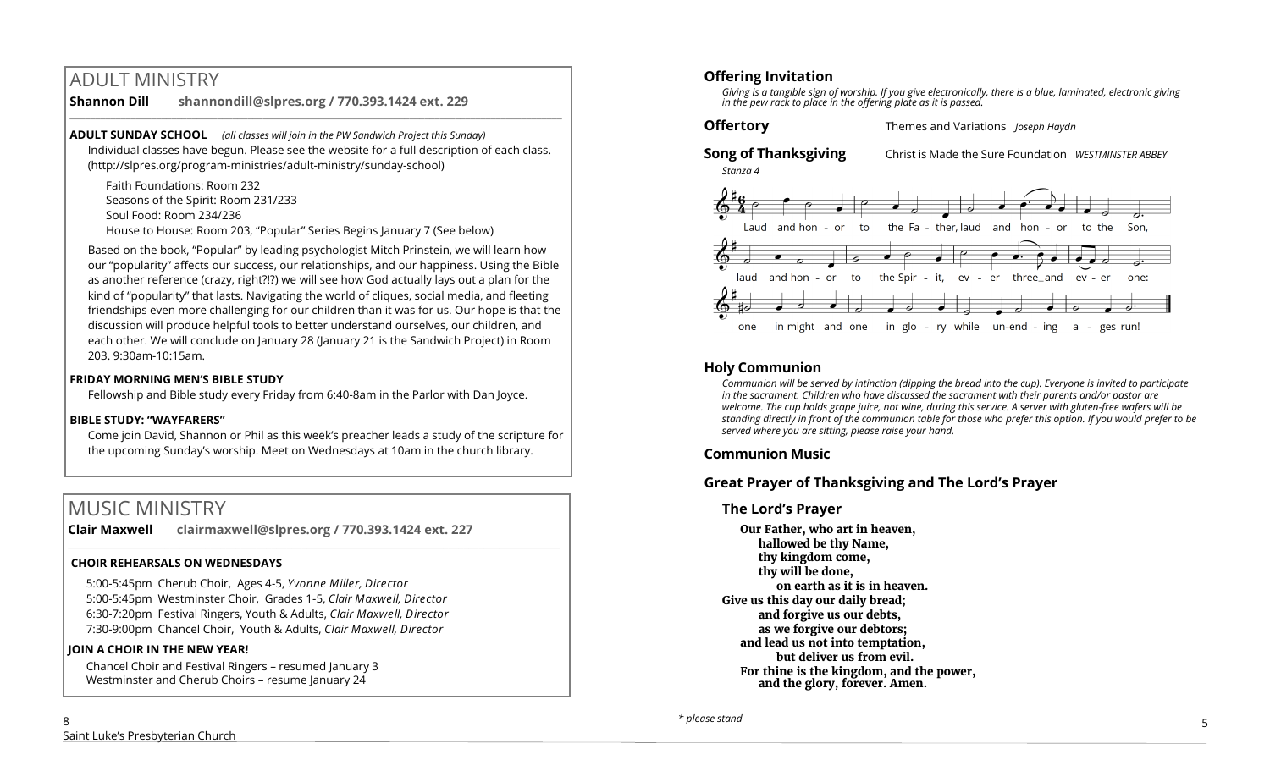# ADULT MINISTRY

#### **Shannon Dill shannondill@slpres.org / 770.393.1424 ext. 229**   $\_$  ,  $\_$  ,  $\_$  ,  $\_$  ,  $\_$  ,  $\_$  ,  $\_$  ,  $\_$  ,  $\_$  ,  $\_$  ,  $\_$  ,  $\_$  ,  $\_$  ,  $\_$  ,  $\_$  ,  $\_$  ,  $\_$  ,  $\_$  ,  $\_$  ,  $\_$

**ADULT SUNDAY SCHOOL** *(all classes will join in the PW Sandwich Project this Sunday)*  Individual classes have begun. Please see the website for a full description of each class. (http://slpres.org/program-ministries/adult-ministry/sunday-school)

Faith Foundations: Room 232 Seasons of the Spirit: Room 231/233 Soul Food: Room 234/236 House to House: Room 203, "Popular" Series Begins January 7 (See below)

Based on the book, "Popular" by leading psychologist Mitch Prinstein, we will learn how our "popularity" affects our success, our relationships, and our happiness. Using the Bible as another reference (crazy, right?!?) we will see how God actually lays out a plan for the kind of "popularity" that lasts. Navigating the world of cliques, social media, and fleeting friendships even more challenging for our children than it was for us. Our hope is that the discussion will produce helpful tools to better understand ourselves, our children, and each other. We will conclude on January 28 (January 21 is the Sandwich Project) in Room 203. 9:30am-10:15am.

#### **FRIDAY MORNING MEN'S BIBLE STUDY**

Fellowship and Bible study every Friday from 6:40-8am in the Parlor with Dan Joyce.

## **BIBLE STUDY: "WAYFARERS"**

Come join David, Shannon or Phil as this week's preacher leads a study of the scripture for the upcoming Sunday's worship. Meet on Wednesdays at 10am in the church library.

# MUSIC MINISTRY

**Clair Maxwell clairmaxwell@slpres.org / 770.393.1424 ext. 227**   $\_$  ,  $\_$  ,  $\_$  ,  $\_$  ,  $\_$  ,  $\_$  ,  $\_$  ,  $\_$  ,  $\_$  ,  $\_$  ,  $\_$  ,  $\_$  ,  $\_$  ,  $\_$  ,  $\_$  ,  $\_$  ,  $\_$  ,  $\_$  ,  $\_$ 

## **CHOIR REHEARSALS ON WEDNESDAYS**

5:00-5:45pm Cherub Choir, Ages 4-5, *Yvonne Miller, Director*  5:00-5:45pm Westminster Choir, Grades 1-5, *Clair Maxwell, Director*  6:30-7:20pm Festival Ringers, Youth & Adults, *Clair Maxwell, Director*  7:30-9:00pm Chancel Choir, Youth & Adults, *Clair Maxwell, Director* 

## **JOIN A CHOIR IN THE NEW YEAR!**

Chancel Choir and Festival Ringers – resumed January 3 Westminster and Cherub Choirs - resume January 24

*Giving is a tangible sign of worship. If you give electronically, there is a blue, laminated, electronic giving in the pew rack to place in the offering plate as it is passed.*

**Offertory** Themes and Variations *Joseph Haydn*

#### **Song of Thanksgiving** Christ is Made the Sure Foundation *WESTMINSTER ABBEY Stanza 4*



# **Holy Communion**

*Communion will be served by intinction (dipping the bread into the cup). Everyone is invited to participate in the sacrament. Children who have discussed the sacrament with their parents and/or pastor are welcome. The cup holds grape juice, not wine, during this service. A server with gluten-free wafers will be standing directly in front of the communion table for those who prefer this option. If you would prefer to be served where you are sitting, please raise your hand.* 

# **Communion Music**

# **Great Prayer of Thanksgiving and The Lord's Prayer**

# **The Lord's Prayer**

**Our Father, who art in heaven, hallowed be thy Name, thy kingdom come, thy will be done, on earth as it is in heaven. Give us this day our daily bread; and forgive us our debts, as we forgive our debtors; and lead us not into temptation, but deliver us from evil. For thine is the kingdom, and the power, and the glory, forever. Amen.** 

8